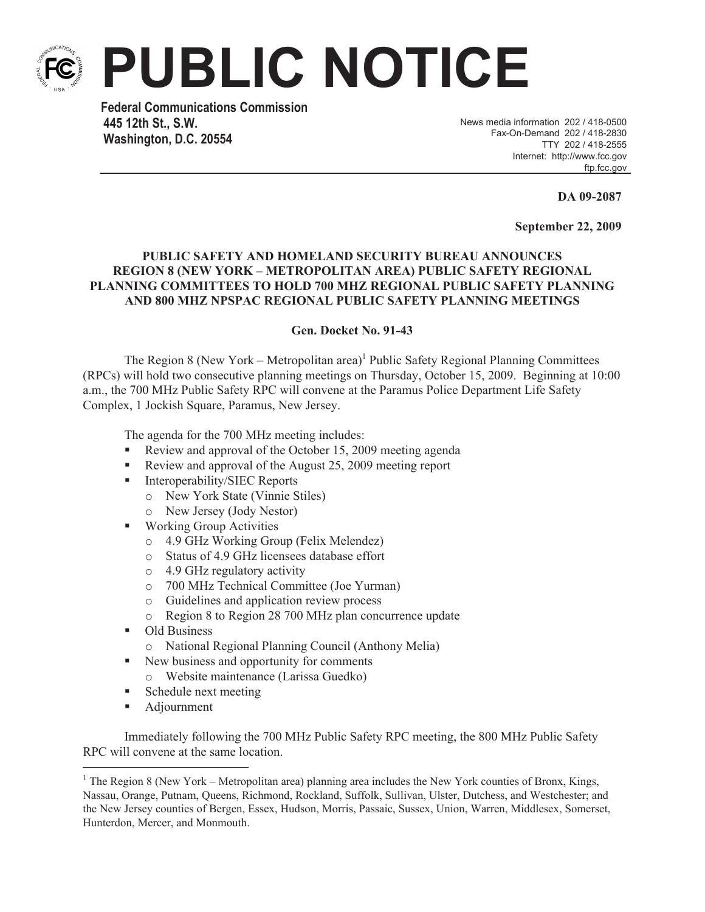

**PUBLIC NOTICE**

**Federal Communications Commission 445 12th St., S.W. Washington, D.C. 20554**

News media information 202 / 418-0500 Fax-On-Demand 202 / 418-2830 TTY 202 / 418-2555 Internet: http://www.fcc.gov ftp.fcc.gov

**DA 09-2087**

**September 22, 2009**

## **PUBLIC SAFETY AND HOMELAND SECURITY BUREAU ANNOUNCES REGION 8 (NEW YORK – METROPOLITAN AREA) PUBLIC SAFETY REGIONAL PLANNING COMMITTEES TO HOLD 700 MHZ REGIONAL PUBLIC SAFETY PLANNING AND 800 MHZ NPSPAC REGIONAL PUBLIC SAFETY PLANNING MEETINGS**

## **Gen. Docket No. 91-43**

The Region 8 (New York – Metropolitan area)<sup>1</sup> Public Safety Regional Planning Committees (RPCs) will hold two consecutive planning meetings on Thursday, October 15, 2009. Beginning at 10:00 a.m., the 700 MHz Public Safety RPC will convene at the Paramus Police Department Life Safety Complex, 1 Jockish Square, Paramus, New Jersey.

The agenda for the 700 MHz meeting includes:

- Review and approval of the October 15, 2009 meeting agenda
- Review and approval of the August 25, 2009 meeting report
- Interoperability/SIEC Reports
	- o New York State (Vinnie Stiles)
	- o New Jersey (Jody Nestor)
- Working Group Activities
	- o 4.9 GHz Working Group (Felix Melendez)
	- o Status of 4.9 GHz licensees database effort
	- o 4.9 GHz regulatory activity
	- o 700 MHz Technical Committee (Joe Yurman)
	- o Guidelines and application review process
	- o Region 8 to Region 28 700 MHz plan concurrence update
- Old Business
	- o National Regional Planning Council (Anthony Melia)
- New business and opportunity for comments
	- o Website maintenance (Larissa Guedko)
- Schedule next meeting
- Adjournment

Immediately following the 700 MHz Public Safety RPC meeting, the 800 MHz Public Safety RPC will convene at the same location.

<sup>&</sup>lt;sup>1</sup> The Region 8 (New York – Metropolitan area) planning area includes the New York counties of Bronx, Kings, Nassau, Orange, Putnam, Queens, Richmond, Rockland, Suffolk, Sullivan, Ulster, Dutchess, and Westchester; and the New Jersey counties of Bergen, Essex, Hudson, Morris, Passaic, Sussex, Union, Warren, Middlesex, Somerset, Hunterdon, Mercer, and Monmouth.